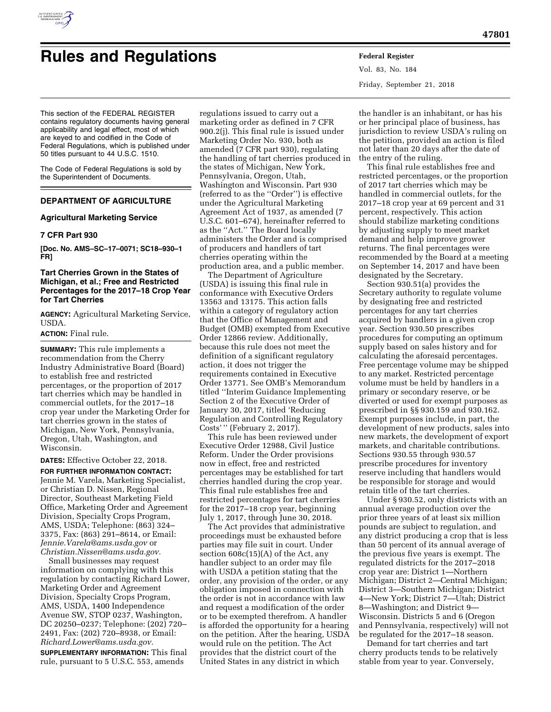

# **Rules and Regulations Federal Register**

This section of the FEDERAL REGISTER contains regulatory documents having general applicability and legal effect, most of which are keyed to and codified in the Code of Federal Regulations, which is published under 50 titles pursuant to 44 U.S.C. 1510.

The Code of Federal Regulations is sold by the Superintendent of Documents.

# **DEPARTMENT OF AGRICULTURE**

## **Agricultural Marketing Service**

#### **7 CFR Part 930**

**[Doc. No. AMS–SC–17–0071; SC18–930–1 FR]** 

# **Tart Cherries Grown in the States of Michigan, et al.; Free and Restricted Percentages for the 2017–18 Crop Year for Tart Cherries**

**AGENCY:** Agricultural Marketing Service, USDA.

#### **ACTION:** Final rule.

**SUMMARY:** This rule implements a recommendation from the Cherry Industry Administrative Board (Board) to establish free and restricted percentages, or the proportion of 2017 tart cherries which may be handled in commercial outlets, for the 2017–18 crop year under the Marketing Order for tart cherries grown in the states of Michigan, New York, Pennsylvania, Oregon, Utah, Washington, and Wisconsin.

**DATES:** Effective October 22, 2018.

**FOR FURTHER INFORMATION CONTACT:**  Jennie M. Varela, Marketing Specialist, or Christian D. Nissen, Regional Director, Southeast Marketing Field Office, Marketing Order and Agreement Division, Specialty Crops Program, AMS, USDA; Telephone: (863) 324– 3375, Fax: (863) 291–8614, or Email: *[Jennie.Varela@ams.usda.gov](mailto:Jennie.Varela@ams.usda.gov)* or *[Christian.Nissen@ams.usda.gov.](mailto:Christian.Nissen@ams.usda.gov)* 

Small businesses may request information on complying with this regulation by contacting Richard Lower, Marketing Order and Agreement Division, Specialty Crops Program, AMS, USDA, 1400 Independence Avenue SW, STOP 0237, Washington, DC 20250–0237; Telephone: (202) 720– 2491, Fax: (202) 720–8938, or Email: *[Richard.Lower@ams.usda.gov.](mailto:Richard.Lower@ams.usda.gov)* 

**SUPPLEMENTARY INFORMATION:** This final rule, pursuant to 5 U.S.C. 553, amends

regulations issued to carry out a marketing order as defined in 7 CFR 900.2(j). This final rule is issued under Marketing Order No. 930, both as amended (7 CFR part 930), regulating the handling of tart cherries produced in the states of Michigan, New York, Pennsylvania, Oregon, Utah, Washington and Wisconsin. Part 930 (referred to as the ''Order'') is effective under the Agricultural Marketing Agreement Act of 1937, as amended (7 U.S.C. 601–674), hereinafter referred to as the ''Act.'' The Board locally administers the Order and is comprised of producers and handlers of tart cherries operating within the production area, and a public member.

The Department of Agriculture (USDA) is issuing this final rule in conformance with Executive Orders 13563 and 13175. This action falls within a category of regulatory action that the Office of Management and Budget (OMB) exempted from Executive Order 12866 review. Additionally, because this rule does not meet the definition of a significant regulatory action, it does not trigger the requirements contained in Executive Order 13771. See OMB's Memorandum titled ''Interim Guidance Implementing Section 2 of the Executive Order of January 30, 2017, titled 'Reducing Regulation and Controlling Regulatory Costs' '' (February 2, 2017).

This rule has been reviewed under Executive Order 12988, Civil Justice Reform. Under the Order provisions now in effect, free and restricted percentages may be established for tart cherries handled during the crop year. This final rule establishes free and restricted percentages for tart cherries for the 2017–18 crop year, beginning July 1, 2017, through June 30, 2018.

The Act provides that administrative proceedings must be exhausted before parties may file suit in court. Under section 608c(15)(A) of the Act, any handler subject to an order may file with USDA a petition stating that the order, any provision of the order, or any obligation imposed in connection with the order is not in accordance with law and request a modification of the order or to be exempted therefrom. A handler is afforded the opportunity for a hearing on the petition. After the hearing, USDA would rule on the petition. The Act provides that the district court of the United States in any district in which

Vol. 83, No. 184 Friday, September 21, 2018

the handler is an inhabitant, or has his or her principal place of business, has jurisdiction to review USDA's ruling on the petition, provided an action is filed not later than 20 days after the date of the entry of the ruling.

This final rule establishes free and restricted percentages, or the proportion of 2017 tart cherries which may be handled in commercial outlets, for the 2017–18 crop year at 69 percent and 31 percent, respectively. This action should stabilize marketing conditions by adjusting supply to meet market demand and help improve grower returns. The final percentages were recommended by the Board at a meeting on September 14, 2017 and have been designated by the Secretary.

Section 930.51(a) provides the Secretary authority to regulate volume by designating free and restricted percentages for any tart cherries acquired by handlers in a given crop year. Section 930.50 prescribes procedures for computing an optimum supply based on sales history and for calculating the aforesaid percentages. Free percentage volume may be shipped to any market. Restricted percentage volume must be held by handlers in a primary or secondary reserve, or be diverted or used for exempt purposes as prescribed in §§ 930.159 and 930.162. Exempt purposes include, in part, the development of new products, sales into new markets, the development of export markets, and charitable contributions. Sections 930.55 through 930.57 prescribe procedures for inventory reserve including that handlers would be responsible for storage and would retain title of the tart cherries.

Under § 930.52, only districts with an annual average production over the prior three years of at least six million pounds are subject to regulation, and any district producing a crop that is less than 50 percent of its annual average of the previous five years is exempt. The regulated districts for the 2017–2018 crop year are: District 1—Northern Michigan; District 2—Central Michigan; District 3—Southern Michigan; District 4—New York; District 7—Utah; District 8—Washington; and District 9— Wisconsin. Districts 5 and 6 (Oregon and Pennsylvania, respectively) will not be regulated for the 2017–18 season.

Demand for tart cherries and tart cherry products tends to be relatively stable from year to year. Conversely,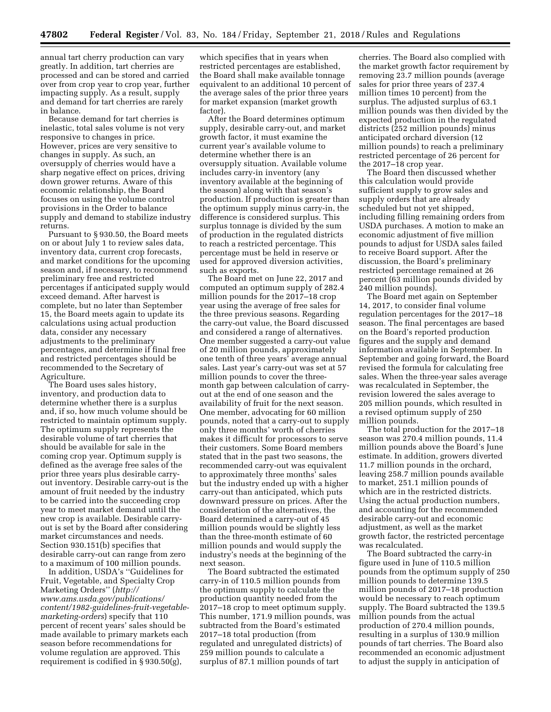annual tart cherry production can vary greatly. In addition, tart cherries are processed and can be stored and carried over from crop year to crop year, further impacting supply. As a result, supply and demand for tart cherries are rarely in balance.

Because demand for tart cherries is inelastic, total sales volume is not very responsive to changes in price. However, prices are very sensitive to changes in supply. As such, an oversupply of cherries would have a sharp negative effect on prices, driving down grower returns. Aware of this economic relationship, the Board focuses on using the volume control provisions in the Order to balance supply and demand to stabilize industry returns.

Pursuant to § 930.50, the Board meets on or about July 1 to review sales data, inventory data, current crop forecasts, and market conditions for the upcoming season and, if necessary, to recommend preliminary free and restricted percentages if anticipated supply would exceed demand. After harvest is complete, but no later than September 15, the Board meets again to update its calculations using actual production data, consider any necessary adjustments to the preliminary percentages, and determine if final free and restricted percentages should be recommended to the Secretary of Agriculture.

The Board uses sales history, inventory, and production data to determine whether there is a surplus and, if so, how much volume should be restricted to maintain optimum supply. The optimum supply represents the desirable volume of tart cherries that should be available for sale in the coming crop year. Optimum supply is defined as the average free sales of the prior three years plus desirable carryout inventory. Desirable carry-out is the amount of fruit needed by the industry to be carried into the succeeding crop year to meet market demand until the new crop is available. Desirable carryout is set by the Board after considering market circumstances and needs. Section 930.151(b) specifies that desirable carry-out can range from zero to a maximum of 100 million pounds.

In addition, USDA's ''Guidelines for Fruit, Vegetable, and Specialty Crop Marketing Orders'' (*[http://](http://www.ams.usda.gov/publications/content/1982-guidelines-fruit-vegetable-marketing-orders) [www.ams.usda.gov/publications/](http://www.ams.usda.gov/publications/content/1982-guidelines-fruit-vegetable-marketing-orders)  [content/1982-guidelines-fruit-vegetable](http://www.ams.usda.gov/publications/content/1982-guidelines-fruit-vegetable-marketing-orders)[marketing-orders](http://www.ams.usda.gov/publications/content/1982-guidelines-fruit-vegetable-marketing-orders)*) specify that 110 percent of recent years' sales should be made available to primary markets each season before recommendations for volume regulation are approved. This requirement is codified in § 930.50(g),

which specifies that in years when restricted percentages are established, the Board shall make available tonnage equivalent to an additional 10 percent of the average sales of the prior three years for market expansion (market growth factor).

After the Board determines optimum supply, desirable carry-out, and market growth factor, it must examine the current year's available volume to determine whether there is an oversupply situation. Available volume includes carry-in inventory (any inventory available at the beginning of the season) along with that season's production. If production is greater than the optimum supply minus carry-in, the difference is considered surplus. This surplus tonnage is divided by the sum of production in the regulated districts to reach a restricted percentage. This percentage must be held in reserve or used for approved diversion activities, such as exports.

The Board met on June 22, 2017 and computed an optimum supply of 282.4 million pounds for the 2017–18 crop year using the average of free sales for the three previous seasons. Regarding the carry-out value, the Board discussed and considered a range of alternatives. One member suggested a carry-out value of 20 million pounds, approximately one tenth of three years' average annual sales. Last year's carry-out was set at 57 million pounds to cover the threemonth gap between calculation of carryout at the end of one season and the availability of fruit for the next season. One member, advocating for 60 million pounds, noted that a carry-out to supply only three months' worth of cherries makes it difficult for processors to serve their customers. Some Board members stated that in the past two seasons, the recommended carry-out was equivalent to approximately three months' sales but the industry ended up with a higher carry-out than anticipated, which puts downward pressure on prices. After the consideration of the alternatives, the Board determined a carry-out of 45 million pounds would be slightly less than the three-month estimate of 60 million pounds and would supply the industry's needs at the beginning of the next season.

The Board subtracted the estimated carry-in of 110.5 million pounds from the optimum supply to calculate the production quantity needed from the 2017–18 crop to meet optimum supply. This number, 171.9 million pounds, was subtracted from the Board's estimated 2017–18 total production (from regulated and unregulated districts) of 259 million pounds to calculate a surplus of 87.1 million pounds of tart

cherries. The Board also complied with the market growth factor requirement by removing 23.7 million pounds (average sales for prior three years of 237.4 million times 10 percent) from the surplus. The adjusted surplus of 63.1 million pounds was then divided by the expected production in the regulated districts (252 million pounds) minus anticipated orchard diversion (12 million pounds) to reach a preliminary restricted percentage of 26 percent for the 2017–18 crop year.

The Board then discussed whether this calculation would provide sufficient supply to grow sales and supply orders that are already scheduled but not yet shipped, including filling remaining orders from USDA purchases. A motion to make an economic adjustment of five million pounds to adjust for USDA sales failed to receive Board support. After the discussion, the Board's preliminary restricted percentage remained at 26 percent (63 million pounds divided by 240 million pounds).

The Board met again on September 14, 2017, to consider final volume regulation percentages for the 2017–18 season. The final percentages are based on the Board's reported production figures and the supply and demand information available in September. In September and going forward, the Board revised the formula for calculating free sales. When the three-year sales average was recalculated in September, the revision lowered the sales average to 205 million pounds, which resulted in a revised optimum supply of 250 million pounds.

The total production for the 2017–18 season was 270.4 million pounds, 11.4 million pounds above the Board's June estimate. In addition, growers diverted 11.7 million pounds in the orchard, leaving 258.7 million pounds available to market, 251.1 million pounds of which are in the restricted districts. Using the actual production numbers, and accounting for the recommended desirable carry-out and economic adjustment, as well as the market growth factor, the restricted percentage was recalculated.

The Board subtracted the carry-in figure used in June of 110.5 million pounds from the optimum supply of 250 million pounds to determine 139.5 million pounds of 2017–18 production would be necessary to reach optimum supply. The Board subtracted the 139.5 million pounds from the actual production of 270.4 million pounds, resulting in a surplus of 130.9 million pounds of tart cherries. The Board also recommended an economic adjustment to adjust the supply in anticipation of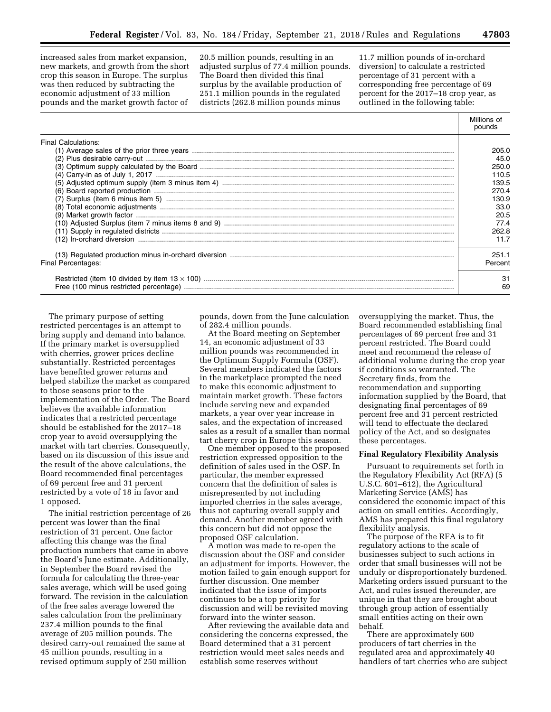increased sales from market expansion, new markets, and growth from the short crop this season in Europe. The surplus was then reduced by subtracting the economic adjustment of 33 million pounds and the market growth factor of

20.5 million pounds, resulting in an adjusted surplus of 77.4 million pounds. The Board then divided this final surplus by the available production of 251.1 million pounds in the regulated districts (262.8 million pounds minus

11.7 million pounds of in-orchard diversion) to calculate a restricted percentage of 31 percent with a corresponding free percentage of 69 percent for the 2017–18 crop year, as outlined in the following table:

|                            | Millions of<br>pounds |
|----------------------------|-----------------------|
| <b>Final Calculations:</b> |                       |
|                            | 205.0                 |
|                            | 45.0                  |
|                            | 250.0                 |
|                            | 110.5                 |
|                            | 139.5                 |
|                            | 270.4                 |
|                            | 130.9                 |
|                            | 33.0                  |
|                            | 20.5                  |
|                            | 77.4                  |
|                            | 262.8                 |
|                            | 11.7                  |
|                            | 251.1                 |
| Final Percentages:         | Percent               |
|                            | 31                    |
|                            | 69                    |

The primary purpose of setting restricted percentages is an attempt to bring supply and demand into balance. If the primary market is oversupplied with cherries, grower prices decline substantially. Restricted percentages have benefited grower returns and helped stabilize the market as compared to those seasons prior to the implementation of the Order. The Board believes the available information indicates that a restricted percentage should be established for the 2017–18 crop year to avoid oversupplying the market with tart cherries. Consequently, based on its discussion of this issue and the result of the above calculations, the Board recommended final percentages of 69 percent free and 31 percent restricted by a vote of 18 in favor and 1 opposed.

The initial restriction percentage of 26 percent was lower than the final restriction of 31 percent. One factor affecting this change was the final production numbers that came in above the Board's June estimate. Additionally, in September the Board revised the formula for calculating the three-year sales average, which will be used going forward. The revision in the calculation of the free sales average lowered the sales calculation from the preliminary 237.4 million pounds to the final average of 205 million pounds. The desired carry-out remained the same at 45 million pounds, resulting in a revised optimum supply of 250 million

pounds, down from the June calculation of 282.4 million pounds.

At the Board meeting on September 14, an economic adjustment of 33 million pounds was recommended in the Optimum Supply Formula (OSF). Several members indicated the factors in the marketplace prompted the need to make this economic adjustment to maintain market growth. These factors include serving new and expanded markets, a year over year increase in sales, and the expectation of increased sales as a result of a smaller than normal tart cherry crop in Europe this season.

One member opposed to the proposed restriction expressed opposition to the definition of sales used in the OSF. In particular, the member expressed concern that the definition of sales is misrepresented by not including imported cherries in the sales average, thus not capturing overall supply and demand. Another member agreed with this concern but did not oppose the proposed OSF calculation.

A motion was made to re-open the discussion about the OSF and consider an adjustment for imports. However, the motion failed to gain enough support for further discussion. One member indicated that the issue of imports continues to be a top priority for discussion and will be revisited moving forward into the winter season.

After reviewing the available data and considering the concerns expressed, the Board determined that a 31 percent restriction would meet sales needs and establish some reserves without

oversupplying the market. Thus, the Board recommended establishing final percentages of 69 percent free and 31 percent restricted. The Board could meet and recommend the release of additional volume during the crop year if conditions so warranted. The Secretary finds, from the recommendation and supporting information supplied by the Board, that designating final percentages of 69 percent free and 31 percent restricted will tend to effectuate the declared policy of the Act, and so designates these percentages.

#### **Final Regulatory Flexibility Analysis**

Pursuant to requirements set forth in the Regulatory Flexibility Act (RFA) (5 U.S.C. 601–612), the Agricultural Marketing Service (AMS) has considered the economic impact of this action on small entities. Accordingly, AMS has prepared this final regulatory flexibility analysis.

The purpose of the RFA is to fit regulatory actions to the scale of businesses subject to such actions in order that small businesses will not be unduly or disproportionately burdened. Marketing orders issued pursuant to the Act, and rules issued thereunder, are unique in that they are brought about through group action of essentially small entities acting on their own behalf.

There are approximately 600 producers of tart cherries in the regulated area and approximately 40 handlers of tart cherries who are subject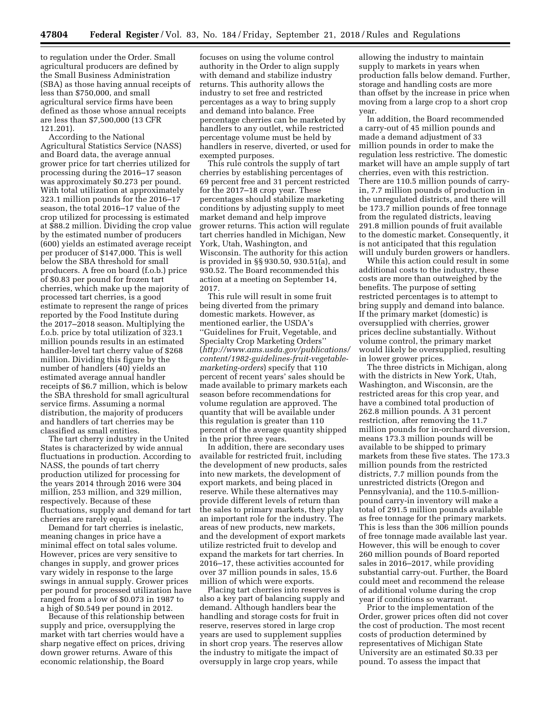to regulation under the Order. Small agricultural producers are defined by the Small Business Administration (SBA) as those having annual receipts of less than \$750,000, and small agricultural service firms have been defined as those whose annual receipts are less than \$7,500,000 (13 CFR 121.201).

According to the National Agricultural Statistics Service (NASS) and Board data, the average annual grower price for tart cherries utilized for processing during the 2016–17 season was approximately \$0.273 per pound. With total utilization at approximately 323.1 million pounds for the 2016–17 season, the total 2016–17 value of the crop utilized for processing is estimated at \$88.2 million. Dividing the crop value by the estimated number of producers (600) yields an estimated average receipt per producer of \$147,000. This is well below the SBA threshold for small producers. A free on board (f.o.b.) price of \$0.83 per pound for frozen tart cherries, which make up the majority of processed tart cherries, is a good estimate to represent the range of prices reported by the Food Institute during the 2017–2018 season. Multiplying the f.o.b. price by total utilization of 323.1 million pounds results in an estimated handler-level tart cherry value of \$268 million. Dividing this figure by the number of handlers (40) yields an estimated average annual handler receipts of \$6.7 million, which is below the SBA threshold for small agricultural service firms. Assuming a normal distribution, the majority of producers and handlers of tart cherries may be classified as small entities.

The tart cherry industry in the United States is characterized by wide annual fluctuations in production. According to NASS, the pounds of tart cherry production utilized for processing for the years 2014 through 2016 were 304 million, 253 million, and 329 million, respectively. Because of these fluctuations, supply and demand for tart cherries are rarely equal.

Demand for tart cherries is inelastic, meaning changes in price have a minimal effect on total sales volume. However, prices are very sensitive to changes in supply, and grower prices vary widely in response to the large swings in annual supply. Grower prices per pound for processed utilization have ranged from a low of \$0.073 in 1987 to a high of \$0.549 per pound in 2012.

Because of this relationship between supply and price, oversupplying the market with tart cherries would have a sharp negative effect on prices, driving down grower returns. Aware of this economic relationship, the Board

focuses on using the volume control authority in the Order to align supply with demand and stabilize industry returns. This authority allows the industry to set free and restricted percentages as a way to bring supply and demand into balance. Free percentage cherries can be marketed by handlers to any outlet, while restricted percentage volume must be held by handlers in reserve, diverted, or used for exempted purposes.

This rule controls the supply of tart cherries by establishing percentages of 69 percent free and 31 percent restricted for the 2017–18 crop year. These percentages should stabilize marketing conditions by adjusting supply to meet market demand and help improve grower returns. This action will regulate tart cherries handled in Michigan, New York, Utah, Washington, and Wisconsin. The authority for this action is provided in §§ 930.50, 930.51(a), and 930.52. The Board recommended this action at a meeting on September 14, 2017.

This rule will result in some fruit being diverted from the primary domestic markets. However, as mentioned earlier, the USDA's ''Guidelines for Fruit, Vegetable, and Specialty Crop Marketing Orders'' (*[http://www.ams.usda.gov/publications/](http://www.ams.usda.gov/publications/content/1982-guidelines-fruit-vegetable-marketing-orders) [content/1982-guidelines-fruit-vegetable](http://www.ams.usda.gov/publications/content/1982-guidelines-fruit-vegetable-marketing-orders)[marketing-orders](http://www.ams.usda.gov/publications/content/1982-guidelines-fruit-vegetable-marketing-orders)*) specify that 110 percent of recent years' sales should be made available to primary markets each season before recommendations for volume regulation are approved. The quantity that will be available under this regulation is greater than 110 percent of the average quantity shipped in the prior three years.

In addition, there are secondary uses available for restricted fruit, including the development of new products, sales into new markets, the development of export markets, and being placed in reserve. While these alternatives may provide different levels of return than the sales to primary markets, they play an important role for the industry. The areas of new products, new markets, and the development of export markets utilize restricted fruit to develop and expand the markets for tart cherries. In 2016–17, these activities accounted for over 37 million pounds in sales, 15.6 million of which were exports.

Placing tart cherries into reserves is also a key part of balancing supply and demand. Although handlers bear the handling and storage costs for fruit in reserve, reserves stored in large crop years are used to supplement supplies in short crop years. The reserves allow the industry to mitigate the impact of oversupply in large crop years, while

allowing the industry to maintain supply to markets in years when production falls below demand. Further, storage and handling costs are more than offset by the increase in price when moving from a large crop to a short crop year.

In addition, the Board recommended a carry-out of 45 million pounds and made a demand adjustment of 33 million pounds in order to make the regulation less restrictive. The domestic market will have an ample supply of tart cherries, even with this restriction. There are 110.5 million pounds of carryin, 7.7 million pounds of production in the unregulated districts, and there will be 173.7 million pounds of free tonnage from the regulated districts, leaving 291.8 million pounds of fruit available to the domestic market. Consequently, it is not anticipated that this regulation will unduly burden growers or handlers.

While this action could result in some additional costs to the industry, these costs are more than outweighed by the benefits. The purpose of setting restricted percentages is to attempt to bring supply and demand into balance. If the primary market (domestic) is oversupplied with cherries, grower prices decline substantially. Without volume control, the primary market would likely be oversupplied, resulting in lower grower prices.

The three districts in Michigan, along with the districts in New York, Utah, Washington, and Wisconsin, are the restricted areas for this crop year, and have a combined total production of 262.8 million pounds. A 31 percent restriction, after removing the 11.7 million pounds for in-orchard diversion, means 173.3 million pounds will be available to be shipped to primary markets from these five states. The 173.3 million pounds from the restricted districts, 7.7 million pounds from the unrestricted districts (Oregon and Pennsylvania), and the 110.5-millionpound carry-in inventory will make a total of 291.5 million pounds available as free tonnage for the primary markets. This is less than the 306 million pounds of free tonnage made available last year. However, this will be enough to cover 260 million pounds of Board reported sales in 2016–2017, while providing substantial carry-out. Further, the Board could meet and recommend the release of additional volume during the crop year if conditions so warrant.

Prior to the implementation of the Order, grower prices often did not cover the cost of production. The most recent costs of production determined by representatives of Michigan State University are an estimated \$0.33 per pound. To assess the impact that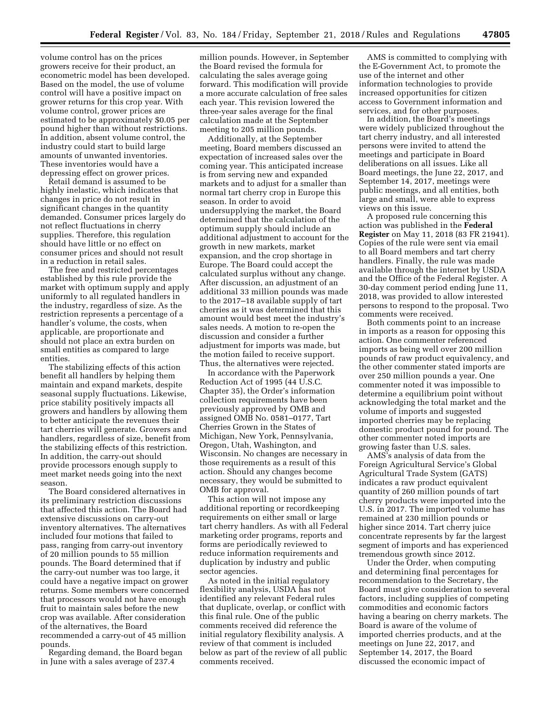volume control has on the prices growers receive for their product, an econometric model has been developed. Based on the model, the use of volume control will have a positive impact on grower returns for this crop year. With volume control, grower prices are estimated to be approximately \$0.05 per pound higher than without restrictions. In addition, absent volume control, the industry could start to build large amounts of unwanted inventories. These inventories would have a depressing effect on grower prices.

Retail demand is assumed to be highly inelastic, which indicates that changes in price do not result in significant changes in the quantity demanded. Consumer prices largely do not reflect fluctuations in cherry supplies. Therefore, this regulation should have little or no effect on consumer prices and should not result in a reduction in retail sales.

The free and restricted percentages established by this rule provide the market with optimum supply and apply uniformly to all regulated handlers in the industry, regardless of size. As the restriction represents a percentage of a handler's volume, the costs, when applicable, are proportionate and should not place an extra burden on small entities as compared to large entities.

The stabilizing effects of this action benefit all handlers by helping them maintain and expand markets, despite seasonal supply fluctuations. Likewise, price stability positively impacts all growers and handlers by allowing them to better anticipate the revenues their tart cherries will generate. Growers and handlers, regardless of size, benefit from the stabilizing effects of this restriction. In addition, the carry-out should provide processors enough supply to meet market needs going into the next season.

The Board considered alternatives in its preliminary restriction discussions that affected this action. The Board had extensive discussions on carry-out inventory alternatives. The alternatives included four motions that failed to pass, ranging from carry-out inventory of 20 million pounds to 55 million pounds. The Board determined that if the carry-out number was too large, it could have a negative impact on grower returns. Some members were concerned that processors would not have enough fruit to maintain sales before the new crop was available. After consideration of the alternatives, the Board recommended a carry-out of 45 million pounds.

Regarding demand, the Board began in June with a sales average of 237.4

million pounds. However, in September the Board revised the formula for calculating the sales average going forward. This modification will provide a more accurate calculation of free sales each year. This revision lowered the three-year sales average for the final calculation made at the September meeting to 205 million pounds.

Additionally, at the September meeting, Board members discussed an expectation of increased sales over the coming year. This anticipated increase is from serving new and expanded markets and to adjust for a smaller than normal tart cherry crop in Europe this season. In order to avoid undersupplying the market, the Board determined that the calculation of the optimum supply should include an additional adjustment to account for the growth in new markets, market expansion, and the crop shortage in Europe. The Board could accept the calculated surplus without any change. After discussion, an adjustment of an additional 33 million pounds was made to the 2017–18 available supply of tart cherries as it was determined that this amount would best meet the industry's sales needs. A motion to re-open the discussion and consider a further adjustment for imports was made, but the motion failed to receive support. Thus, the alternatives were rejected.

In accordance with the Paperwork Reduction Act of 1995 (44 U.S.C. Chapter 35), the Order's information collection requirements have been previously approved by OMB and assigned OMB No. 0581–0177, Tart Cherries Grown in the States of Michigan, New York, Pennsylvania, Oregon, Utah, Washington, and Wisconsin. No changes are necessary in those requirements as a result of this action. Should any changes become necessary, they would be submitted to OMB for approval.

This action will not impose any additional reporting or recordkeeping requirements on either small or large tart cherry handlers. As with all Federal marketing order programs, reports and forms are periodically reviewed to reduce information requirements and duplication by industry and public sector agencies.

As noted in the initial regulatory flexibility analysis, USDA has not identified any relevant Federal rules that duplicate, overlap, or conflict with this final rule. One of the public comments received did reference the initial regulatory flexibility analysis. A review of that comment is included below as part of the review of all public comments received.

AMS is committed to complying with the E-Government Act, to promote the use of the internet and other information technologies to provide increased opportunities for citizen access to Government information and services, and for other purposes.

In addition, the Board's meetings were widely publicized throughout the tart cherry industry, and all interested persons were invited to attend the meetings and participate in Board deliberations on all issues. Like all Board meetings, the June 22, 2017, and September 14, 2017, meetings were public meetings, and all entities, both large and small, were able to express views on this issue.

A proposed rule concerning this action was published in the **Federal Register** on May 11, 2018 (83 FR 21941). Copies of the rule were sent via email to all Board members and tart cherry handlers. Finally, the rule was made available through the internet by USDA and the Office of the Federal Register. A 30-day comment period ending June 11, 2018, was provided to allow interested persons to respond to the proposal. Two comments were received.

Both comments point to an increase in imports as a reason for opposing this action. One commenter referenced imports as being well over 200 million pounds of raw product equivalency, and the other commenter stated imports are over 250 million pounds a year. One commenter noted it was impossible to determine a equilibrium point without acknowledging the total market and the volume of imports and suggested imported cherries may be replacing domestic product pound for pound. The other commenter noted imports are growing faster than U.S. sales.

AMS's analysis of data from the Foreign Agricultural Service's Global Agricultural Trade System (GATS) indicates a raw product equivalent quantity of 260 million pounds of tart cherry products were imported into the U.S. in 2017. The imported volume has remained at 230 million pounds or higher since 2014. Tart cherry juice concentrate represents by far the largest segment of imports and has experienced tremendous growth since 2012.

Under the Order, when computing and determining final percentages for recommendation to the Secretary, the Board must give consideration to several factors, including supplies of competing commodities and economic factors having a bearing on cherry markets. The Board is aware of the volume of imported cherries products, and at the meetings on June 22, 2017, and September 14, 2017, the Board discussed the economic impact of